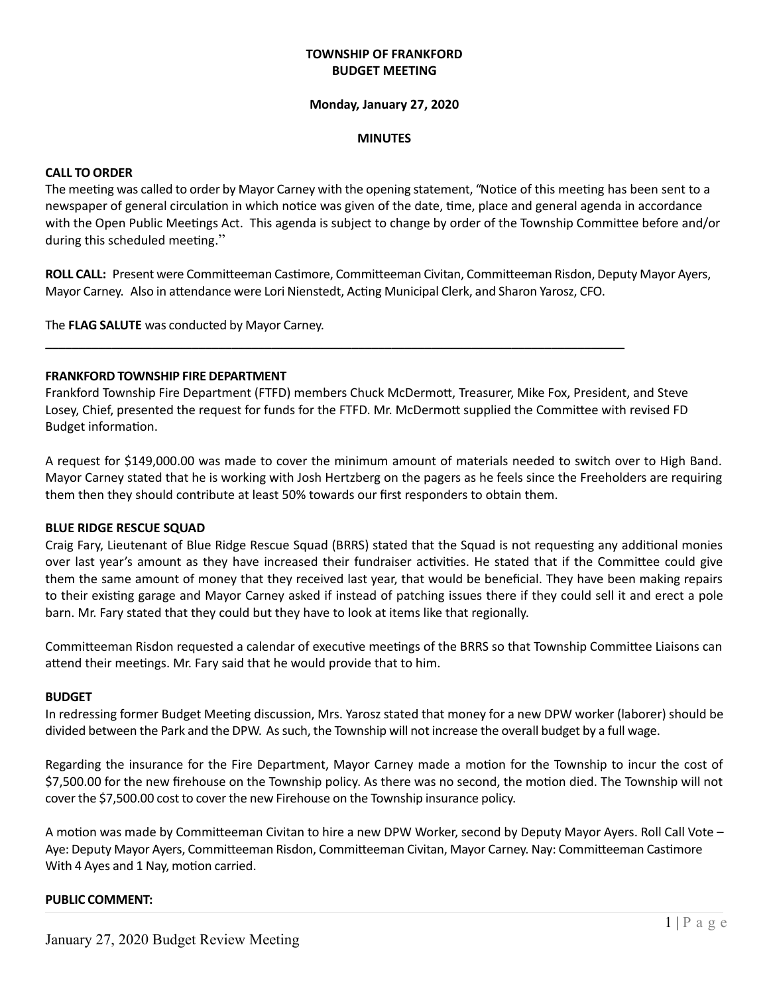# **TOWNSHIP OF FRANKFORD BUDGET MEETING**

#### **Monday, January 27, 2020**

#### **MINUTES**

## **CALL TO ORDER**

The meeting was called to order by Mayor Carney with the opening statement, "Notice of this meeting has been sent to a newspaper of general circulation in which notice was given of the date, time, place and general agenda in accordance with the Open Public Meetings Act. This agenda is subject to change by order of the Township Committee before and/or during this scheduled meeting."

**ROLL CALL:** Present were Committeeman Castimore, Committeeman Civitan, Committeeman Risdon, Deputy Mayor Ayers, Mayor Carney.Also in attendance were Lori Nienstedt, Acting Municipal Clerk, and Sharon Yarosz, CFO.

The **FLAG SALUTE** was conducted by Mayor Carney.

## **FRANKFORD TOWNSHIP FIRE DEPARTMENT**

Frankford Township Fire Department (FTFD) members Chuck McDermott, Treasurer, Mike Fox, President, and Steve Losey, Chief, presented the request for funds for the FTFD. Mr. McDermott supplied the Committee with revised FD Budget information.

**\_\_\_\_\_\_\_\_\_\_\_\_\_\_\_\_\_\_\_\_\_\_\_\_\_\_\_\_\_\_\_\_\_\_\_\_\_\_\_\_\_\_\_\_\_\_\_\_\_\_\_\_\_\_\_\_\_\_\_\_\_\_\_\_\_\_\_\_\_\_\_\_\_\_\_\_\_\_\_\_\_\_\_\_\_\_\_**

A request for \$149,000.00 was made to cover the minimum amount of materials needed to switch over to High Band. Mayor Carney stated that he is working with Josh Hertzberg on the pagers as he feels since the Freeholders are requiring them then they should contribute at least 50% towards our first responders to obtain them.

#### **BLUE RIDGE RESCUE SQUAD**

Craig Fary, Lieutenant of Blue Ridge Rescue Squad (BRRS) stated that the Squad is not requesting any additional monies over last year's amount as they have increased their fundraiser activities. He stated that if the Committee could give them the same amount of money that they received last year, that would be beneficial. They have been making repairs to their existing garage and Mayor Carney asked if instead of patching issues there if they could sell it and erect a pole barn. Mr. Fary stated that they could but they have to look at items like that regionally.

Committeeman Risdon requested a calendar of executive meetings of the BRRS so that Township Committee Liaisons can attend their meetings. Mr. Fary said that he would provide that to him.

#### **BUDGET**

In redressing former Budget Meeting discussion, Mrs. Yarosz stated that money for a new DPW worker (laborer) should be divided between the Park and the DPW. As such, the Township will not increase the overall budget by a full wage.

Regarding the insurance for the Fire Department, Mayor Carney made a motion for the Township to incur the cost of \$7,500.00 for the new firehouse on the Township policy. As there was no second, the motion died. The Township will not cover the \$7,500.00 cost to cover the new Firehouse on the Township insurance policy.

A motion was made by Committeeman Civitan to hire a new DPW Worker, second by Deputy Mayor Ayers. Roll Call Vote – Aye: Deputy Mayor Ayers, Committeeman Risdon, Committeeman Civitan, Mayor Carney. Nay: Committeeman Castimore With 4 Ayes and 1 Nay, motion carried.

# **PUBLIC COMMENT:**